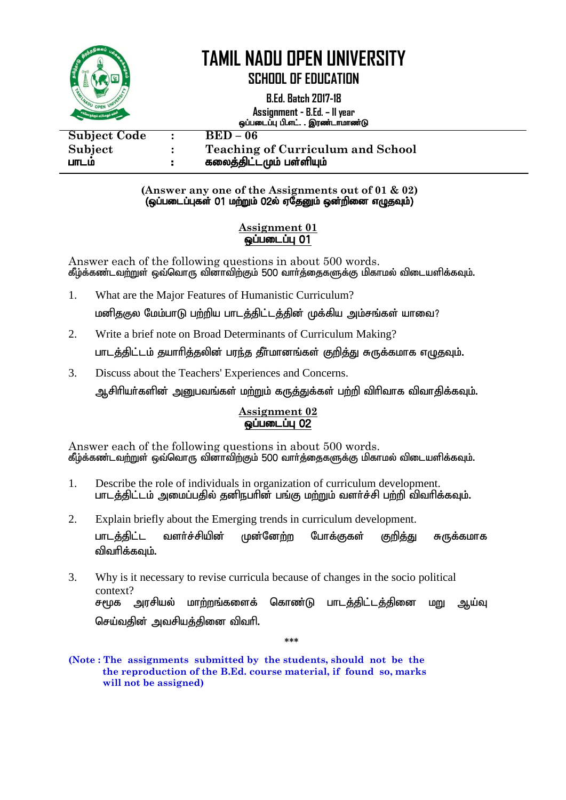

**SCHOOL OF EDUCATION**

**B.Ed. Batch 2017-18 Assignment - B.Ed. – II year** xg;gilg;G gp.vl;. . ,uz;lhkhz;L

| <b>Subject Code</b><br>Subject<br>பாடம | $\bullet$<br>÷. | $BED-06$<br><b>Teaching of Curriculum and School</b><br>கலைத்திட்டமும் பள்ளியும் |
|----------------------------------------|-----------------|----------------------------------------------------------------------------------|
|                                        |                 |                                                                                  |

#### **(Answer any one of the Assignments out of 01 & 02)**  $\left(\mathbf{q}$ ப்படைப்புகள் 01 மற்றும் 02ல் ஏதேனும் ஒன்றினை எழுதவும்) $\left(\mathbf{q}^T\mathbf{q}\right)$

#### **Assignment 01**  $\overline{\omega}$ ப்படைப்ப $\overline{\omega}$  01

Answer each of the following questions in about 500 words. கீழ்க்கண்டவற்றுள் ஒவ்வொரு வினாவிற்கும் 500 வார்க்கைகளுக்கு மிகாமல் விடையளிக்கவும்.

- 1. What are the Major Features of Humanistic Curriculum? மனிதகுல மேம்பாடு பற்றிய பாடத்திட்டத்தின் முக்கிய அம்சங்கள் யாவை?
- 2. Write a brief note on Broad Determinants of Curriculum Making? பாடக்கிட்டம் கயாரிக்கலின் பாந்க கீர்மானங்கள் குறிக்கு சுருக்கமாக எமுகவம்.
- 3. Discuss about the Teachers' Experiences and Concerns.

ஆசிரியர்களின் அனுபவங்கள் மற்றும் கருத்துக்கள் பற்றி விரிவாக விவாதிக்கவும்.

#### **Assignment 02** <u>ஓப்படைப்பு 02</u>

Answer each of the following questions in about 500 words. கீழ்க்கண்டவற்றுள் ஒவ்வொரு வினாவிற்கும் 500 வார்த்தைகளுக்கு மிகாமல் விடையளிக்கவும்.

- 1. Describe the role of individuals in organization of curriculum development. பாடத்திட்டம் அமைப்பதில் தனிநபரின் பங்கு மற்றும் வளர்ச்சி பற்றி விவரிக்கவும்.
- 2. Explain briefly about the Emerging trends in curriculum development. பாடத்திட்ட வளர்ச்சியின் முன்னேற்ற போக்குகள் குறித்து சுருக்கமாக விவரிக்கவம்.
- 3. Why is it necessary to revise curricula because of changes in the socio political context? சமூக அரசியல் மாற்றங்களைக் கொண்டு பாடத்திட்டத்தினை மறு ஆய்வு செய்வதின் அவசியத்தினை விவரி.

**\*\*\***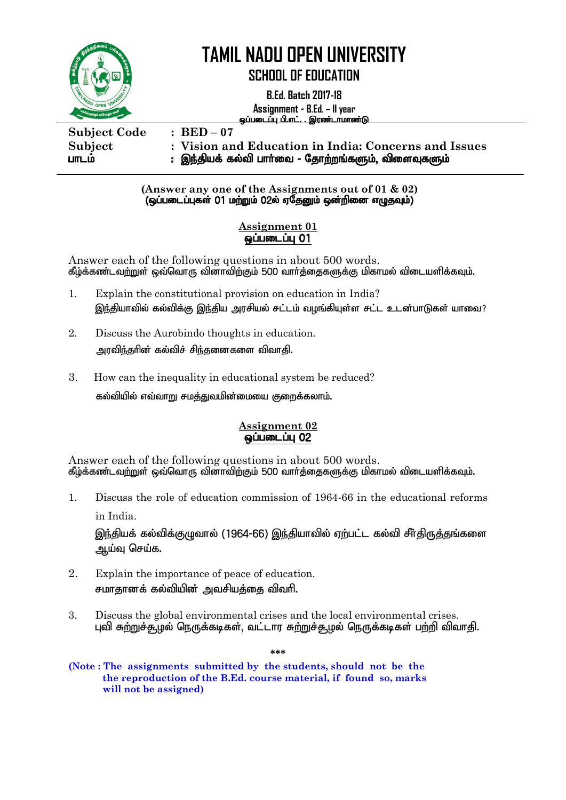

### **SCHOOL OF EDUCATION**

**B.Ed. Batch 2017-18**

**Assignment - B.Ed. – II year** <u>ஒப்படைப்பு பி.எட். . இரண்டாமாண்டு</u>

**Subject Code : BED – 07 Subject : Vision and Education in India: Concerns and Issues** பாடம் இந்தியக் கல்வி பாா்வை - தோற்றங்களும், விளைவுகளும்

#### **(Answer any one of the Assignments out of 01 & 02)**  $\overline{G}$ (ஒப்படைப்புகள் 01 மற்றும் 02ல் ஏதேனும் ஒன்றினை எழுதவும்)

#### **Assignment 01** ஒப்படைப்பு 01

Answer each of the following questions in about 500 words. கீழ்க்கண்டவற்றுள் ஒவ்வொரு வினாவிற்கும் 500 வார்த்தைகளுக்கு மிகாமல் விடையளிக்கவும்.

- 1. Explain the constitutional provision on education in India? இந்தியாவில் கல்விக்கு இந்திய அரசியல் சட்டம் வழங்கியுள்ள சட்ட உடன்பாடுகள் யாவை?
- 2. Discuss the Aurobindo thoughts in education. அாவிந்கரின் கல்விச் சிந்கனைகளை விவாகி.
- 3. How can the inequality in educational system be reduced? Ĭ கல்வியில் எவ்வாறு சமத்துவமின்மையை குறைக்கலாம்.

#### **Assignment 02** வப்படைப்ப 02

Answer each of the following questions in about 500 words. கீழ்க்கண்டவற்றுள் ஒவ்வொரு வினாவிற்கும் 500 வார்த்தைகளுக்கு மிகாமல் விடையளிக்கவும்.

1. Discuss the role of education commission of 1964-66 in the educational reforms

in India.

இந்தியக் கல்விக்குமுவால் (1964-66) இந்தியாவில் ஏற்பட்ட கல்வி சீர்திருத்தங்களை ஆய்வு செய்க.

- 2. Explain the importance of peace of education. சமாதானக் கல்வியின் அவசியக்கை விவரி.
- 3. Discuss the global environmental crises and the local environmental crises. புவி சுற்றுச்சூழல் நெருக்கடிகள், வட்டார சுற்றுச்சூழல் நெருக்கடிகள் பற்றி விவாதி.

**\*\*\***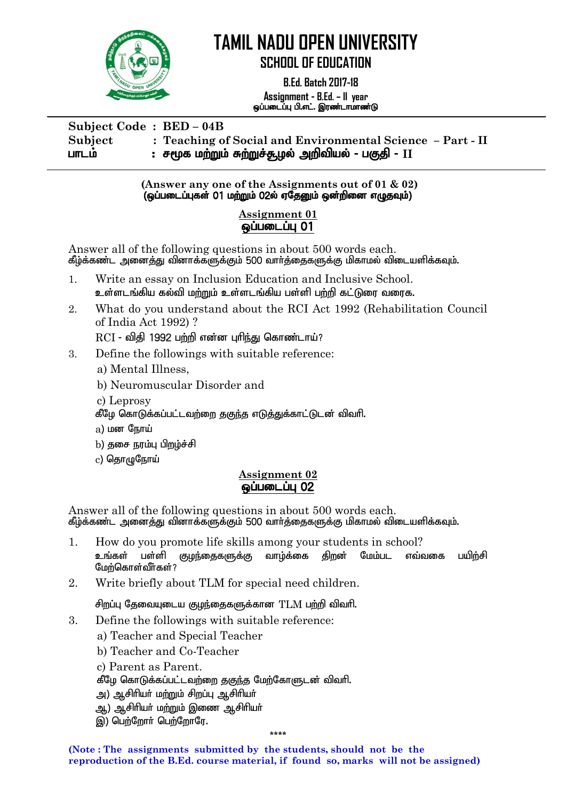

 **B.Ed. Batch 2017-18 Assignment - B.Ed. – II year** ஒப்படைப்பு பி.எட். இரண்டாமாண்டு

**Subject Code : BED – 04B Subject : Teaching of Social and Environmental Science – Part - II** பாடம் <del>:</del> சமூக மற்றும் சுற்றுச்சூழல் அறிவியல் - பகுதி - II

> **(Answer any one of the Assignments out of 01 & 02)**  $\overline{Q}$ (ஒப்படைப்புகள் 01 மற்றும் 02ல் ஏதேனும் ஒன்றினை எழுதவும்)

#### **Assignment 01**  <u>லப்படைப்ப</u> 01

Answer all of the following questions in about 500 words each. கீழ்க்கண்ட அனைத்து வினாக்களுக்கும் 500 வார்த்தைகளுக்கு மிகாமல் விடையளிக்கவும்.

- 1. Write an essay on Inclusion Education and Inclusive School. உள்ளடங்கிய கல்வி மற்றும் உள்ளடங்கிய பள்ளி பற்றி கட்டுரை வரைக.
- 2. What do you understand about the RCI Act 1992 (Rehabilitation Council of India Act 1992) ?

 $RCI$  - விதி 1992 பற்றி என்ன புரிந்து கொண்டாய்?

- 3. Define the followings with suitable reference:
	- a) Mental Illness,
	- b) Neuromuscular Disorder and
	- c) Leprosy
	- கீழே கொடுக்கப்பட்டவற்றை தகுந்த எடுத்துக்காட்டுடன் விவரி.
	- $a)$  மன $G$ நாய்
	- b) தசை நரம்பு பிறழ்ச்சி
	- $c)$  தொழுநோய்

#### **Assignment 02** ஒப்படைப்ப 02

Answer all of the following questions in about 500 words each. கீழ்க்கண்ட அனைத்து வினாக்களுக்கும் 500 வார்த்தைகளுக்கு மிகாமல் விடையளிக்கவும்.

- 1. How do you promote life skills among your students in school? உங்கள் பள்ளி குழந்தைகளுக்கு வாழ்க்கை கிறன் மேம்பட எவ்வகை பயிற்சி மேற்கொள்வீர்கள் $?$
- 2. Write briefly about TLM for special need children.

சிறப்பு தேவையுடைய குழந்தைகளுக்கான $TLM$  பற்றி விவரி.

- 3. Define the followings with suitable reference:
	- a) Teacher and Special Teacher
	- b) Teacher and Co-Teacher
	- c) Parent as Parent.
	- கீழே கொடுக்கப்பட்டவற்றை தகுந்த மேற்கோளுடன் விவரி.
	- அ) ஆசிரியர் மற்றும் சிறப்பு ஆசிரியர்
	- ஆ) ஆசிரியா் மற்றும் இணை ஆசிரியா்
	- இ) பெற்றோர் பெற்றோரே.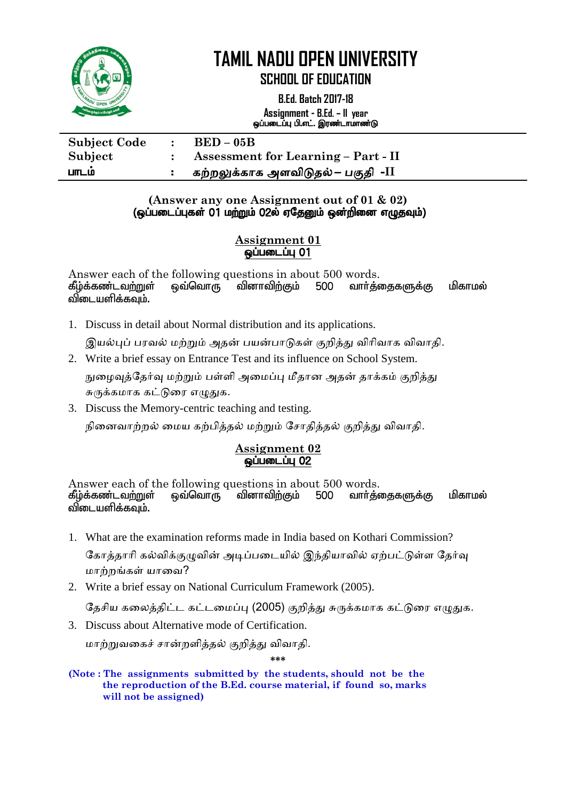

**SCHOOL OF EDUCATION**

**B.Ed. Batch 2017-18 Assignment - B.Ed. – II year** ஒப்படைப்பு பி.எட். இரண்டாமாண்டு

| <b>Subject Code</b> | $BED-05B$                                  |
|---------------------|--------------------------------------------|
| Subject             | <b>Assessment for Learning – Part - II</b> |
| பாடம                | கற்றலுக்காக அளவிடுதல் <i>–</i> பகுதி  -II  |

#### **(Answer any one Assignment out of 01 & 02)** (ஒப்படைப்புகள் 01 மற்றும் 02ல் ஏதேனும் ஒன்றினை எழுதவும்)

#### **Assignment 01** ஒப்படைப்பு 01

Answer each of the following questions in about 500 words.<br>கீழ்க்கண்டவற்றுள் ஒவ்வொரு வினாவிற்கும் 500 வார்த் கீழ்க்கண்டவற்றுள் ஒவ்வொரு வினாவிற்கும் 500 வார்க்கைகளுக்கு மிகாமல் விடையளிக்கவம்.

1. Discuss in detail about Normal distribution and its applications.

இயல்புப் பரவல் மற்றும் அதன் பயன்பாடுகள் குறித்து விரிவாக விவாதி.

2. Write a brief essay on Entrance Test and its influence on School System.

நுழைவுத்தேர்வு மற்றும் பள்ளி அமைப்பு மீதான அதன் தாக்கம் குறித்து சுருக்கமாக கட்டுரை எழுதுக.

3. Discuss the Memory-centric teaching and testing.

நினைவாற்றல் மைய கற்பித்தல் மற்றும் சோதித்தல் குறித்து விவாதி.

#### **Assignment 02 ஒப்படைப்பு 02**

Answer each of the following questions in about 500 words.<br>கீழ்க்கண்டவற்றுள் ஒவ்வொரு வினாவிற்கும் 500 வார்த்தைகளுக்கு ஒவ்வொரு வினாவிற்கும் 500 வாா்த்தைகளுக்கு மிகாமல் விடையளிக்கவும்.

- 1. What are the examination reforms made in India based on Kothari Commission? கோத்தாரி கல்விக்குழுவின் அடிப்படையில் இந்தியாவில் ஏற்பட்டுள்ள தேர்வு மாற்றங்கள் யாவை?
- 2. Write a brief essay on National Curriculum Framework (2005).

தேசிய கலைத்திட்ட கட்டமைப்பு (2005) குறித்து சுருக்கமாக கட்டுரை எழுதுக.

3. Discuss about Alternative mode of Certification.

ாற்றுலழகச் ான்மரித்தல் குமித்து லிலாதி.

**\*\*\***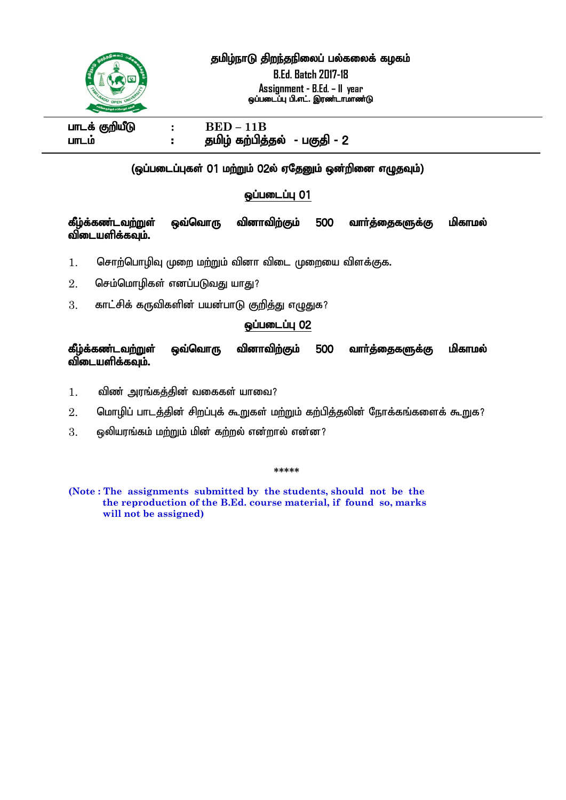

#### தமிழ்நாடு திறந்தநிலைப் பல்கலைக் கழகம்

**B.Ed. Batch 2017-18 Assignment - B.Ed. – II year** ஒப்படைப்பு பி.எட். இரண்டாமாண்டு

 $\mu$  **ELD** – 11B **CO**  $\mu$  **BED** – 11B ghlk; : jkpo; fw;gpj;jy; - gFjp - 2

#### $\overline{a}$ (ஒப்படைப்புகள் 01 மற்றும் 02ல் ஏதேனும் ஒன்றினை எழுதவும்)

#### $\omega$ ப்படைப்பு $01$

#### கீழ்க்கண்டவற்றுள் ஒவ்வொரு வினாவிற்கும் 500 வார்த்தைகளுக்கு மிகாமல் விடையளிக்கவும்.

 $1.$  தொற்பொழிவு முறை மற்றும் வினா விடை முறையை விளக்குக.

- $2.$  செம்மொழிகள் எனப்படுவது யாது?
- $3.$  காட்சிக் கருவிகளின் பயன்பாடு குறித்து எழுதுக?

#### ஒப்படைப்பு 02

கீழ்க்கண்டவற்றுள் ஒவ்வொரு வினாவிற்கும் 500 வார்த்தைகளுக்கு மிகாமல் விடையளிக்கவும்.

- $1.$  மிண் அரங்கக்கின் வகைகள் யாவை?
- $2.$  மொழிப் பாடத்தின் சிறப்புக் கூறுகள் மற்றும் கற்பித்தலின் நோக்கங்களைக் கூறுக?
- $3.$   $\,$ ൈ ഡൈന് മല് മന്സ്വ് വിൽ ക്ഷന് മെന്സ് പെർബ്  $?$

**\*\*\*\*\***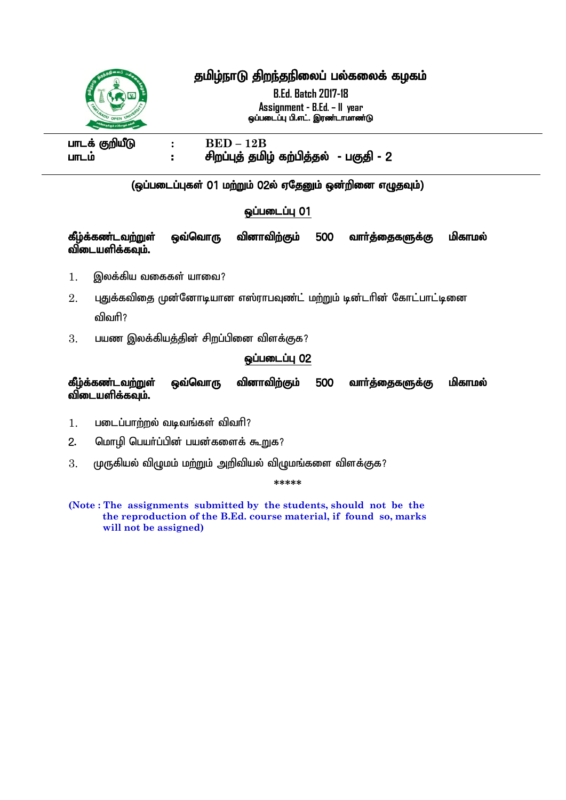### தமிழ்நாடு திறந்தநிலைப் பல்கலைக் கழகம்

**B.Ed. Batch 2017-18 Assignment - B.Ed. – II year** ஒப்படைப்பு பி.எட். இரண்டாமாண்டு



 $I = E$  **BED** – 12B ghlk; : rpwg;Gj; jkpo; fw;gpj;jy; - gFjp - 2

> ı (ஒப்படைப்புகள் 01 மற்றும் 02ல் ஏதேனும் ஒன்றினை எழுதவும்)

#### **ஒப்படைப்பு 01**

கீழ்க்கண்டவற்றுள் ஒவ்வொரு வினாவிற்கும் 500 வார்த்தைகளுக்கு மிகாமல் விடையளிக்கவும்.

- $1.$  இலக்கிய வகைகள் யாவை?
- $2.$  புதுக்கவிதை முன்னோடியான எஸ்ராபவுண்ட் மற்றும் டின்டரின் கோட்பாட்டினை விவரி?
- $3.$  വധത്ത இலக்கியத்தின் சிறப்பினை விளக்குக?

#### **ஒப்படைப்பு 02**

கீழ்க்கண்டவற்றுள் ஒவ்வொரு வினாவிற்கும் 500 வார்த்தைகளுக்கு மிகாமல் விடையளிக்கவும்.

- $1.$  படைப்பாற்றல் வடிவங்கள் விவரி?
- 2. மொழி பெயர்ப்பின் பயன்களைக் கூறுக?
- $3.$  முருகியல் விழுமம் மற்றும் அறிவியல் விழுமங்களை விளக்குக?

**\*\*\*\*\***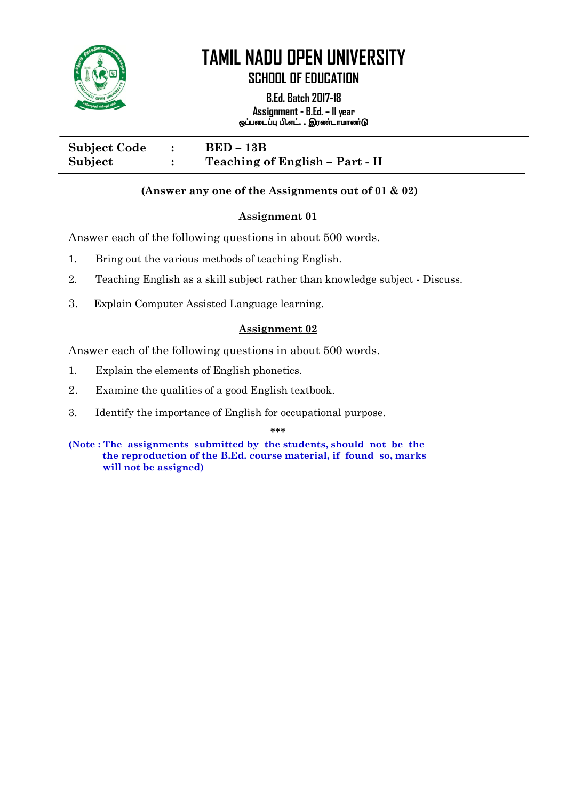

**SCHOOL OF EDUCATION**

**B.Ed. Batch 2017-18 Assignment - B.Ed. – II year** ஒப்படைப்பு பி.எட். . இரண்டாமாண்டு i<br>I

**Subject Code : BED – 13B Subject : Teaching of English – Part - II**

#### **(Answer any one of the Assignments out of 01 & 02)**

#### **Assignment 01**

Answer each of the following questions in about 500 words.

- 1. Bring out the various methods of teaching English.
- 2. Teaching English as a skill subject rather than knowledge subject Discuss.
- 3. Explain Computer Assisted Language learning. Ĭ

#### **Assignment 02**

Answer each of the following questions in about 500 words.

- 1. Explain the elements of English phonetics.
- 2. Examine the qualities of a good English textbook.
- 3. Identify the importance of English for occupational purpose.

**\*\*\***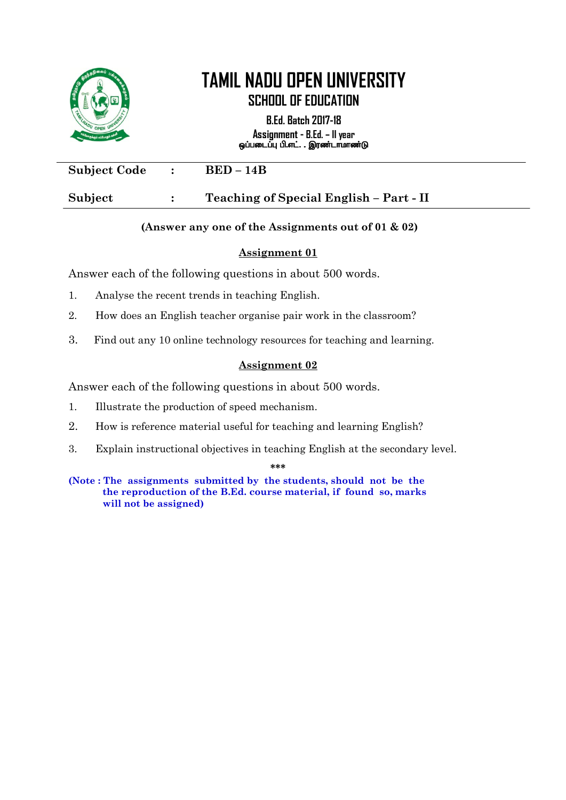

**B.Ed. Batch 2017-18 Assignment - B.Ed. – II year** ஒப்படைப்பு பி.எட். . இரண்டாமாண்டு

| <b>Subject Code</b> | $BED-14B$                               |
|---------------------|-----------------------------------------|
| Subject             | Teaching of Special English - Part - II |

#### **(Answer any one of the Assignments out of 01 & 02)**

#### **Assignment 01**

Answer each of the following questions in about 500 words.

- 1. Analyse the recent trends in teaching English.
- 2. How does an English teacher organise pair work in the classroom?
- 3. Find out any 10 online technology resources for teaching and learning. Ĭ

#### **Assignment 02**

Answer each of the following questions in about 500 words.

- 1. Illustrate the production of speed mechanism.
- 2. How is reference material useful for teaching and learning English?
- 3. Explain instructional objectives in teaching English at the secondary level.

**\*\*\***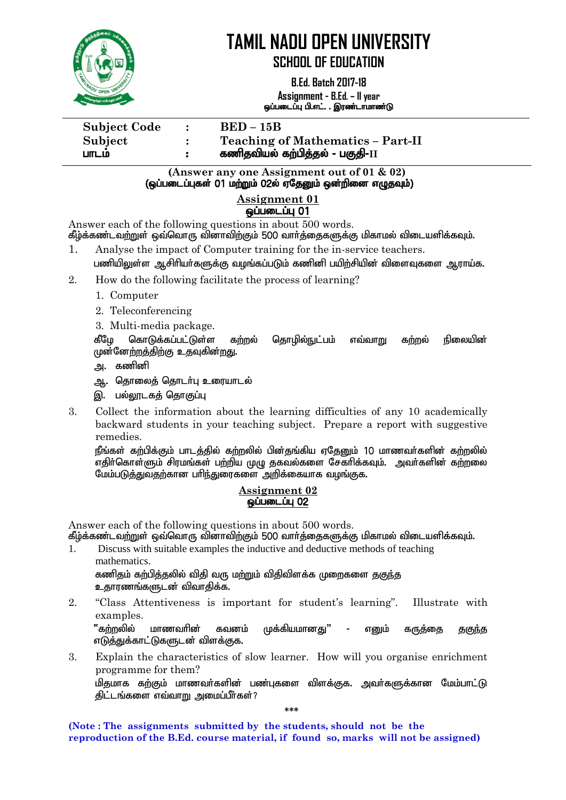

**SCHOOL OF EDUCATION**

**B.Ed. Batch 2017-18 Assignment - B.Ed. – II year** ஒப்படைப்பு பி.எட். . இரண்டாமாண்டு

**Subject Code : BED – 15B** 

**Subject : Teaching of Mathematics – Part-II** ghlk; : fzpjtpay; fw;gpj;jy; - gFjp-**II**

> **(Answer any one Assignment out of 01 & 02)** (ஒப்படைப்புகள் 01 மற்றும் 02ல் ஏதேனும் ஒன்றினை எழுதவும்)

#### **Assignment 01 ஒப்படைப்பு 01**

Answer each of the following questions in about 500 words.

கீழ்க்கண்டவற்றுள் ஒவ்வொரு வினாவிற்கும் 500 வார்த்தைகளுக்கு மிகாமல் விடையளிக்கவும்.

- 1. Analyse the impact of Computer training for the in-service teachers. பணியிலுள்ள ஆசிரியர்களுக்கு வழங்கப்படும் கணினி பயிற்சியின் விளைவுகளை ஆராய்க.
- 2. How do the following facilitate the process of learning?
	- 1. Computer
	- 2. Teleconferencing
	- 3. Multi-media package.

கீமே கொடுக்கப்பட்டுள்ள கற்றல் கொமில்நுட்பம் எவ்வாறு கற்றல் நிலையின் முன்னேற்றத்திற்கு உதவுகின்<u>றத</u>ு.

- அ. கணினி
- அ. தொலைத் தொடர்பு உரையாடல்
- இ. பல்லாடகக் கொகுப்பு
- 3. Collect the information about the learning difficulties of any 10 academically backward students in your teaching subject. Prepare a report with suggestive remedies.

நீங்கள் கற்பிக்கும் பாடத்தில் கற்றலில் பின்தங்கிய ஏதேனும் 10 மாணவர்களின் கற்றலில் எதிர்கொள்ளும் சிரமங்கள் பற்றிய முழு தகவல்களை சேகரிக்கவும். அவர்களின் கற்றலை  $\frac{1}{2}$ மேம்படுக்குவதற்கான பரிந்துரைகளை அறிக்கையாக வழங்குக.

#### **Assignment 02 ஒப்படைப்பு 02**

Answer each of the following questions in about 500 words.

கீழ்க்கண்டவற்றுள் ஒவ்வொரு வினாவிற்கும் 500 வார்த்தைகளுக்கு மிகாமல் விடையளிக்கவும்.

1. Discuss with suitable examples the inductive and deductive methods of teaching mathematics.

கணிதம் கற்பித்தலில் விதி வரு மற்றும் விதிவிளக்க முறைகளை த<u>குந்</u>த உதாரணங்களுடன் விவாதிக்க.

2. "Class Attentiveness is important for student's learning". Illustrate with examples.

"கற்றலில் மாணவரின் கவனம் முக்கியமானது" - எனும் கருத்தை தகு<u>ந்</u>த எடுத்துக்காட்டுகளுடன் விளக்குக.

3. Explain the characteristics of slow learner. How will you organise enrichment programme for them?

மிதமாக கற்கும் மாணவர்களின் பண்புகளை விளக்குக. அவர்களுக்கான மேம்பாட்டு திட்டங்களை எவ்வாறு அமைப்பீர்கள்?

**\*\*\***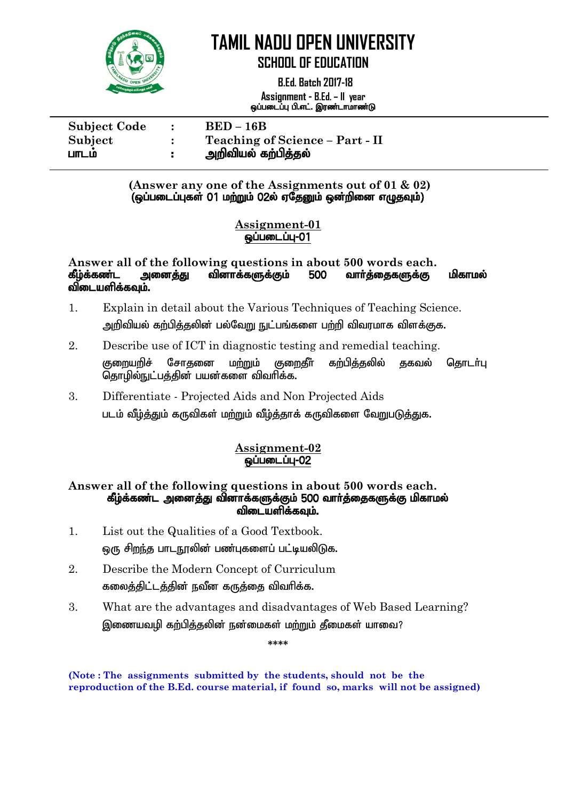

 **B.Ed. Batch 2017-18 Assignment - B.Ed. – II year** ஒப்படைப்பு பி.எட். இரண்டாமாண்டு

| <b>Subject Code</b> | $\bullet$ | $BED-16B$                       |
|---------------------|-----------|---------------------------------|
| Subject             |           | Teaching of Science - Part - II |
| பாடம                |           | அறிவியல் கற்பித்தல்             |

**(Answer any one of the Assignments out of 01 & 02)** (ஒப்படைப்புகள் 01 மற்றும் 02ல் ஏதேனும் ஒன்றினை எழுதவும்)

#### **Assignment-01**  $\ddot{\bm{\omega}}$ ப்படைப்ப-01

#### **Answer all of the following questions in about 500 words each.** கீழ்க்கண்ட அனைத்து வினாக்களுக்கும் 500 வாா்த்தைகளுக்கு மிகாமல் விடையளிக்கவும்.

- 1. Explain in detail about the Various Techniques of Teaching Science. <u>அ</u>றிவியல் கற்பிக்கலின் பல்வோு நுட்பங்களை பற்றி விவாமாக விளக்குக.
- 2. Describe use of ICT in diagnostic testing and remedial teaching. குறையரிச் சோதனை மற்றும் குறைகீர் கற்பிக்கலில் ககவல் கொடர்பு தொழில்நுட்பத்தின் பயன்களை விவரிக்க.
- 3. Differentiate Projected Aids and Non Projected Aids படம் வீம்த்தும் கருவிகள் மற்றும் வீம்த்தாக் கருவிகளை வேறுபடுத்துக.

#### **Assignment-02**  $Q$

#### **Answer all of the following questions in about 500 words each.** கீழ்க்கண்ட அனைத்து வினாக்களுக்கும் 500 வார்த்தைகளுக்கு மிகாமல் விடையளிக்கவும்.

- 1. List out the Qualities of a Good Textbook. டைந சிறந்த பாடநூலின் பண்புகளைப் பட்டியலிடுக.
- 2. Describe the Modern Concept of Curriculum கலைத்திட்டத்தின் நவீன கருத்தை விவரிக்க.
- 3. What are the advantages and disadvantages of Web Based Learning? இணையவழி கற்பித்தலின் நன்மைகள் மற்றும் தீமைகள் யாவை?

**(Note : The assignments submitted by the students, should not be the reproduction of the B.Ed. course material, if found so, marks will not be assigned)**

**\*\*\*\***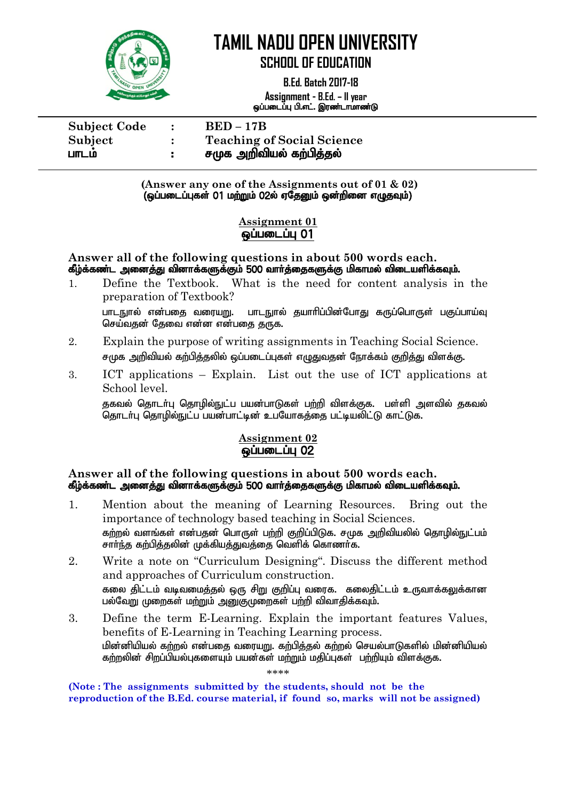

 **B.Ed. Batch 2017-18 Assignment - B.Ed. – II year** ஒப்படைப்பு பி.எட். இரண்டாமாண்டு

| <b>Subject Code</b> | $\mathbb{R}^n$ | $BED-17B$                         |
|---------------------|----------------|-----------------------------------|
| Subject             |                | <b>Teaching of Social Science</b> |
| பாடம                | ÷.             | சமுக அறிவியல் கற்பித்தல்          |

**(Answer any one of the Assignments out of 01 & 02)**  $\overline{Q}$ (ஒப்படைப்புகள் 01 மற்றும் 02ல் ஏதேனும் ஒன்றினை எழுதவும்)

#### **Assignment 01 <u>@ப்படைப்பு</u> 01**

#### **Answer all of the following questions in about 500 words each.** கீழ்க்கண்ட அனைத்து வினாக்களுக்கும் 500 வார்த்தைகளுக்கு மிகாமல் விடையளிக்கவும்.

- 1. Define the Textbook. What is the need for content analysis in the preparation of Textbook? பாடநால் என்பகை வரையுறு. பாடநால் சுயாரிப்பின்போகு கருப்பொருள் பகுப்பாய்வ செய்வகன் கேவை என்ன என்பகை கருக.
- 2. Explain the purpose of writing assignments in Teaching Social Science. சமுக அறிவியல் கற்பித்தலில் ஒப்படைப்புகள் எழுதுவதன் நோக்கம் குறித்து விளக்கு.
- 3. ICT applications Explain. List out the use of ICT applications at School level.

குகவல் தொடர்பு தொழில்நுட்ப பயன்பாடுகள் பற்றி விளக்குக. பள்ளி அளவில் குகவல் ் தொடர்பு தொழில்நுட்ப பயன்பாட்டின் உபயோகக்கை பட்டியலிட்டு காட்டுக.

#### **Assignment 02**  ஒப்படைப்பு 02

#### **Answer all of the following questions in about 500 words each.** கீழ்க்கண்ட அனைத்து வினாக்களுக்கும் 500 வார்த்தைகளுக்கு மிகாமல் விடையளிக்கவும்.

- 1. Mention about the meaning of Learning Resources. Bring out the importance of technology based teaching in Social Sciences. கர்றல் வளங்கள் என்பகன் பொருள் பற்றி குறிப்பிடுக. சமுக அறிவியலில் கொமில்நுட்பம் சார்ந்த கற்பித்தலின் முக்கியத்துவத்தை வெளிக் கொணர்க.
- 2. Write a note on "Curriculum Designing". Discuss the different method and approaches of Curriculum construction. ்கலை கிட்டம் வடிவமைக்கல் ஒரு சிறு குறிப்பு வரைக. கலைகிட்டம் உருவாக்கலுக்கான பல்வேறு முறைகள் மற்றும் அனுகுமுறைகள் பற்றி விவாதிக்கவும்.
- 3. Define the term E-Learning. Explain the important features Values, benefits of E-Learning in Teaching Learning process. மின்னியியல் கற்றல் என்பகை வரையுறு, கற்பிக்கல் கற்றல் செயல்பாடுகளில் மின்னியியல் கற்றலின் சிறப்பியல்புகளையும் பயன்கள் மற்றும் மதிப்புகள் பற்றியும் விளக்குக.

\*\*\*\*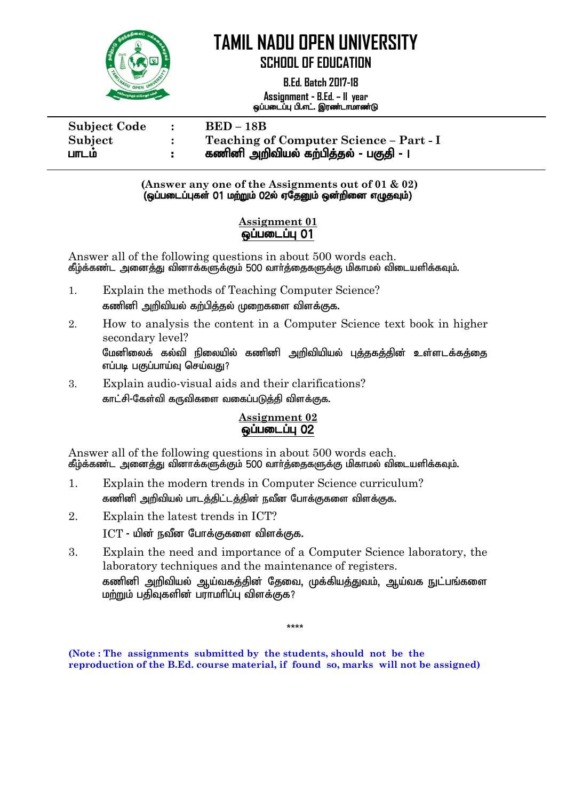

 **B.Ed. Batch 2017-18 Assignment - B.Ed. – II year** ஒப்படைப்பு பி.எட். இரண்டாமாண்டு

| <b>Subject Code</b> | $\mathbb{R}^2$ | $BED - 18B$                             |
|---------------------|----------------|-----------------------------------------|
| Subject             |                | Teaching of Computer Science - Part - I |
| பாடம                |                | கணினி அறிவியல் கற்பித்தல் - பகுதி - ।   |

**(Answer any one of the Assignments out of 01 & 02)**  $\overline{Q}$ (ஒப்படைப்புகள் 01 மற்றும் 02ல் ஏதேனும் ஒன்றினை எழுதவும்)

#### **Assignment 01**  ஒப்படைப்பு 01

Answer all of the following questions in about 500 words each. கீழ்க்கண்ட அனைத்து வினாக்களுக்கும் 500 வார்த்தைகளுக்கு மிகாமல் விடையளிக்கவும்.

- 1. Explain the methods of Teaching Computer Science? கணினி அறிவியல் கற்பித்தல் முறைகளை விளக்குக.
- 2. How to analysis the content in a Computer Science text book in higher secondary level? மேனிலைக் கல்வி நிலையில் கணினி அரிவியியல் பக்ககக்கின் உள்ளடக்கக்கை எப்படி பகுப்பாய்வு செய்வது?
- 3. Explain audio-visual aids and their clarifications? காட்சி-கேள்வி கருவிகளை வகைப்படுத்தி விளக்குக.

#### **Assignment 02**  ஒப்படைப்பு 02

Answer all of the following questions in about 500 words each. கீழ்க்கண்ட அனைத்து வினாக்களுக்கும் 500 வார்த்தைகளுக்கு மிகாமல் விடையளிக்கவும்.

- 1. Explain the modern trends in Computer Science curriculum? கணினி அறிவியல் பாடக்கிட்டக்கின் நவீன போக்குகளை விளக்குக.
- 2. Explain the latest trends in ICT?  $\text{ICT}$  - யின் நவீன போக்குகளை விளக்குக.
- 3. Explain the need and importance of a Computer Science laboratory, the laboratory techniques and the maintenance of registers. கணினி அறிவியல் ஆய்வகத்தின் தேவை, முக்கியத்துவம், ஆய்வக நுட்பங்களை மற்றும் பதிவுகளின் பராமரிப்பு விளக்குக?

\*\*\*\*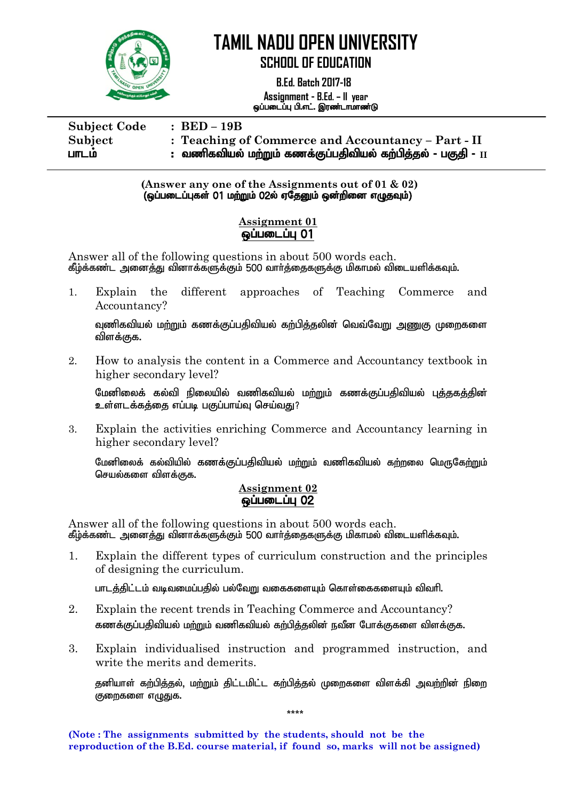

 **B.Ed. Batch 2017-18 Assignment - B.Ed. – II year** ஒப்படைப்பு பி.எட். இரண்டாமாண்டு

| <b>Subject Code</b> | $\therefore$ BED – 19B                                                         |
|---------------------|--------------------------------------------------------------------------------|
| Subject             | : Teaching of Commerce and Accountancy - Part - II                             |
| பாடம                | : வணிகவியல் மற்றும் கணக்குப்பதிவியல் கற்பித்தல் - பகுதி - $\scriptstyle\rm II$ |

**(Answer any one of the Assignments out of 01 & 02)**  $\overline{Q}$ (ஒப்படைப்புகள் 01 மற்றும் 02ல் ஏதேனும் ஒன்றினை எழுதவும்)

#### **Assignment 01 ஒப்படைப்பு 01**

Answer all of the following questions in about 500 words each. கீழ்க்கண்ட அனைத்து வினாக்களுக்கும் 500 வார்த்தைகளுக்கு மிகாமல் விடையளிக்கவும்.

1. Explain the different approaches of Teaching Commerce and Accountancy?

வுணிகவியல் மற்றும் கணக்குப்பதிவியல் கற்பித்தலின் வெவ்வேறு அணுகு முறைகளை விளக்குக.

2. How to analysis the content in a Commerce and Accountancy textbook in higher secondary level?

மேனிலைக் கல்வி நிலையில் வணிகவியல் மற்றும் கணக்குப்பதிவியல் புத்தகத்தின் உள்ளடக்கக்கை எப்படி பகுப்பாய்வு செய்வகு?

3. Explain the activities enriching Commerce and Accountancy learning in higher secondary level?

மேனிலைக் கல்வியில் கணக்குப்பதிவியல் மற்றும் வணிகவியல் கற்றலை மெருகேற்றும் செயல்களை விளக்குக.

#### **Assignment 02 லப்படைப்பு 02**

Answer all of the following questions in about 500 words each. கீழ்க்கண்ட அனைத்து வினாக்களுக்கும் 500 வார்த்தைகளுக்கு மிகாமல் விடையளிக்கவும்.

1. Explain the different types of curriculum construction and the principles of designing the curriculum.

பாடக்கிட்டம் வடிவமைப்பகில் பல்வோ வகைகளையம் கொள்கைகளையம் விவரி.

- 2. Explain the recent trends in Teaching Commerce and Accountancy? கணக்குப்பதிவியல் மற்றும் வணிகவியல் கற்பித்தலின் நவீன போக்குகளை விளக்குக.
- 3. Explain individualised instruction and programmed instruction, and write the merits and demerits.

தனியாள் கற்பித்தல், மற்றும் திட்டமிட்ட கற்பித்தல் முறைகளை விளக்கி அவற்றின் நிறை குறைகளை எழுதுக.

\*\*\*\*